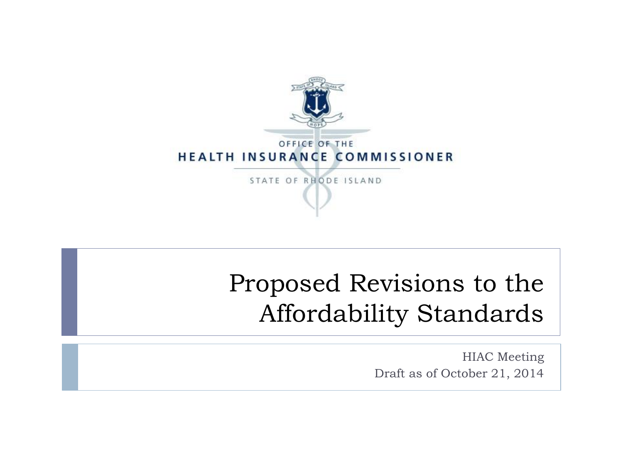

### Proposed Revisions to the Affordability Standards

HIAC Meeting Draft as of October 21, 2014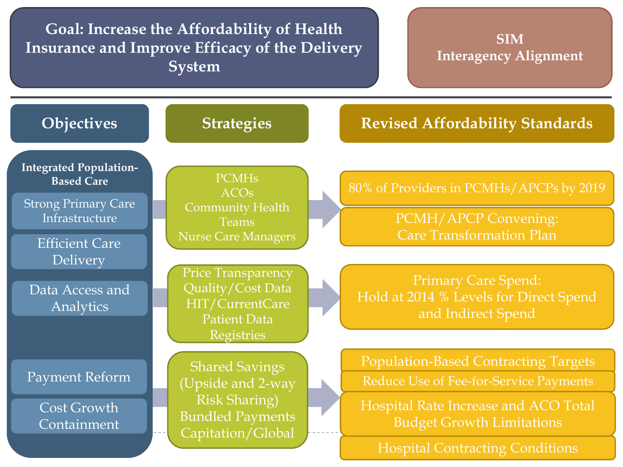**Goal: Increase the Affordability of Health Insurance and Improve Efficacy of the Delivery System**

**SIM Interagency Alignment**

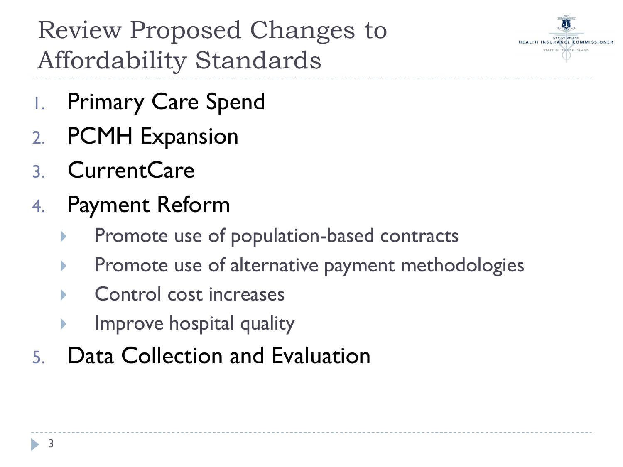

Review Proposed Changes to Affordability Standards

- 1. Primary Care Spend
- 2. PCMH Expansion
- 3. CurrentCare
- 4. Payment Reform
	- Promote use of population-based contracts
	- **Promote use of alternative payment methodologies**
	- ▶ Control cost increases
	- $\blacktriangleright$  Improve hospital quality
- 5. Data Collection and Evaluation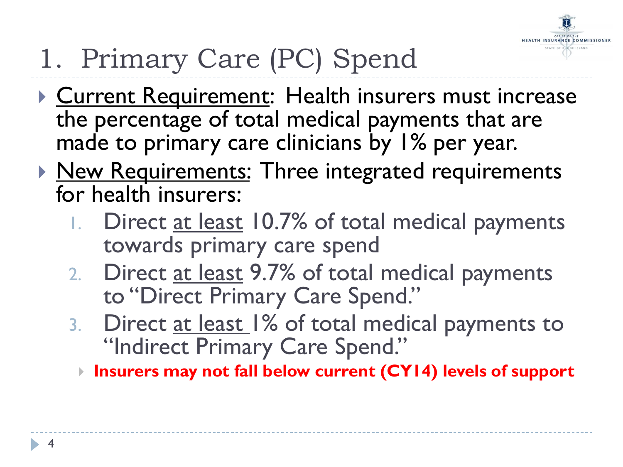

# 1. Primary Care (PC) Spend

- **Current Requirement: Health insurers must increase** the percentage of total medical payments that are made to primary care clinicians by 1% per year.
- **New Requirements: Three integrated requirements** for health insurers:
	- 1. Direct at least 10.7% of total medical payments towards primary care spend
	- 2. Direct at least 9.7% of total medical payments to "Direct Primary Care Spend."
	- 3. Direct at least 1% of total medical payments to "Indirect Primary Care Spend."
		- **Insurers may not fall below current (CY14) levels of support**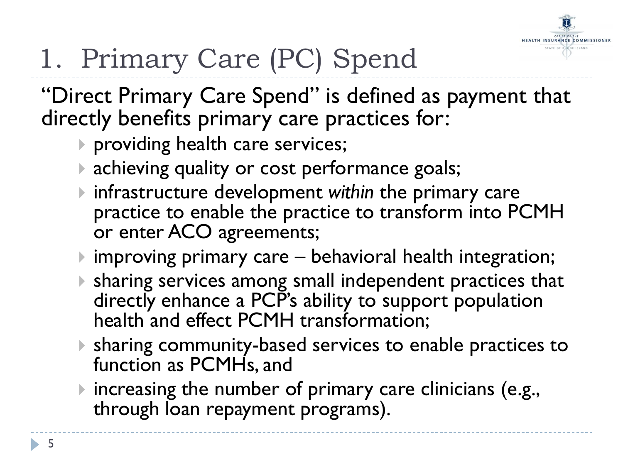

# 1. Primary Care (PC) Spend

"Direct Primary Care Spend" is defined as payment that directly benefits primary care practices for:

- **P** providing health care services;
- **achieving quality or cost performance goals;**
- infrastructure development *within* the primary care practice to enable the practice to transform into PCMH or enter ACO agreements;
- improving primary care behavioral health integration;
- sharing services among small independent practices that directly enhance a PCP's ability to support population health and effect PCMH transformation;
- sharing community-based services to enable practices to function as PCMHs, and
- **If increasing the number of primary care clinicians (e.g.,** through loan repayment programs).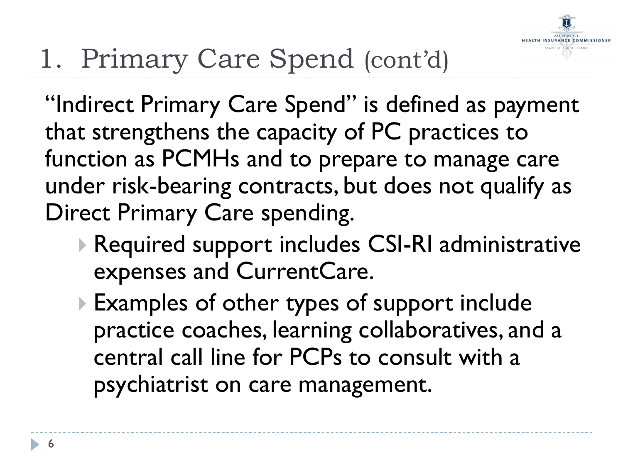

## 1. Primary Care Spend (cont'd)

"Indirect Primary Care Spend" is defined as payment that strengthens the capacity of PC practices to function as PCMHs and to prepare to manage care under risk-bearing contracts, but does not qualify as Direct Primary Care spending.

- ▶ Required support includes CSI-RI administrative expenses and CurrentCare.
- Examples of other types of support include practice coaches, learning collaboratives, and a central call line for PCPs to consult with a psychiatrist on care management.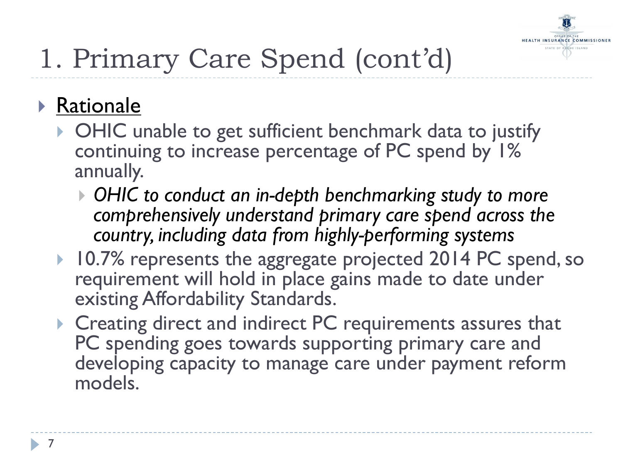

## 1. Primary Care Spend (cont'd)

#### Rationale

- ▶ OHIC unable to get sufficient benchmark data to justify continuing to increase percentage of PC spend by 1% annually.
	- *OHIC to conduct an in-depth benchmarking study to more comprehensively understand primary care spend across the country, including data from highly-performing systems*
- ▶ 10.7% represents the aggregate projected 2014 PC spend, so requirement will hold in place gains made to date under existing Affordability Standards.
- ▶ Creating direct and indirect PC requirements assures that PC spending goes towards supporting primary care and developing capacity to manage care under payment reform models.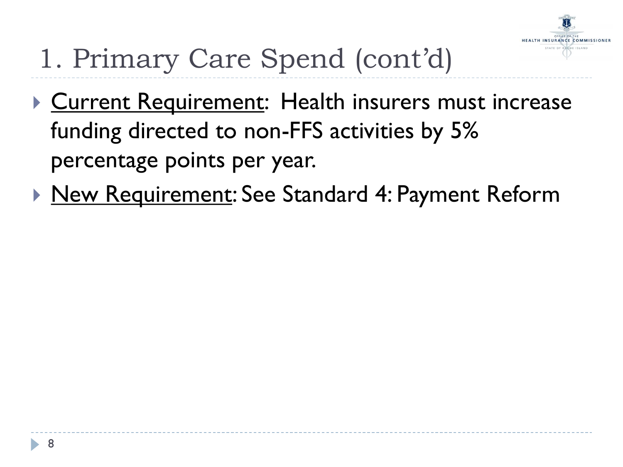

- 1. Primary Care Spend (cont'd)
- **Current Requirement: Health insurers must increase** funding directed to non-FFS activities by 5% percentage points per year.
- ▶ New Requirement: See Standard 4: Payment Reform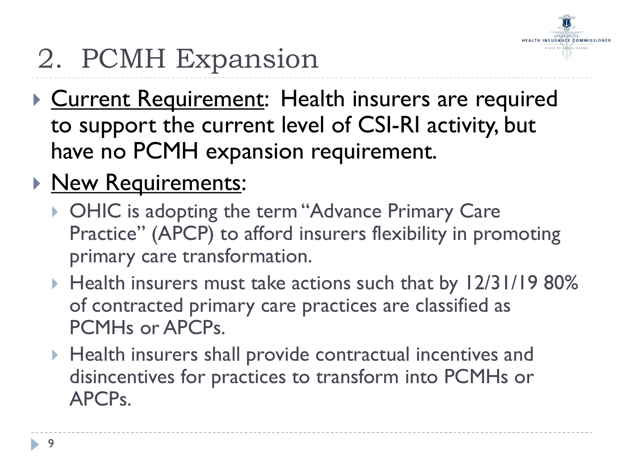

## 2. PCMH Expansion

- **Current Requirement: Health insurers are required** to support the current level of CSI-RI activity, but have no PCMH expansion requirement.
- **New Requirements:** 
	- ▶ OHIC is adopting the term "Advance Primary Care Practice" (APCP) to afford insurers flexibility in promoting primary care transformation.
	- ▶ Health insurers must take actions such that by 12/31/19 80% of contracted primary care practices are classified as PCMHs or APCPs.
	- Health insurers shall provide contractual incentives and disincentives for practices to transform into PCMHs or APCPs.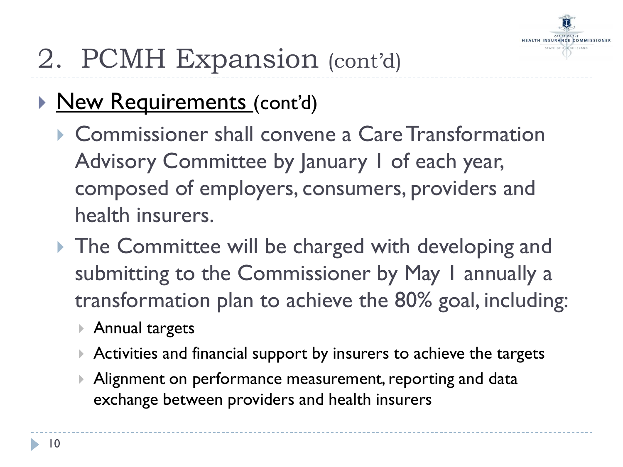

## 2. PCMH Expansion (cont'd)

- **New Requirements (cont'd)** 
	- ▶ Commissioner shall convene a Care Transformation Advisory Committee by January 1 of each year, composed of employers, consumers, providers and health insurers.
	- **The Committee will be charged with developing and** submitting to the Commissioner by May I annually a transformation plan to achieve the 80% goal, including:
		- Annual targets
		- ▶ Activities and financial support by insurers to achieve the targets
		- Alignment on performance measurement, reporting and data exchange between providers and health insurers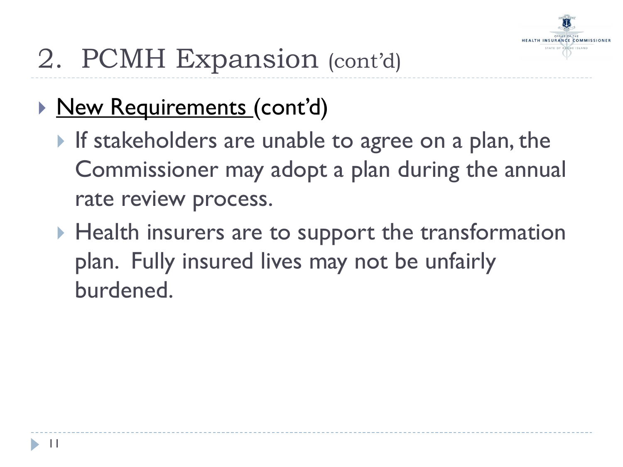

### 2. PCMH Expansion (cont'd)

- ▶ New Requirements (cont'd)
	- If stakeholders are unable to agree on a plan, the Commissioner may adopt a plan during the annual rate review process.
	- $\blacktriangleright$  Health insurers are to support the transformation plan. Fully insured lives may not be unfairly burdened.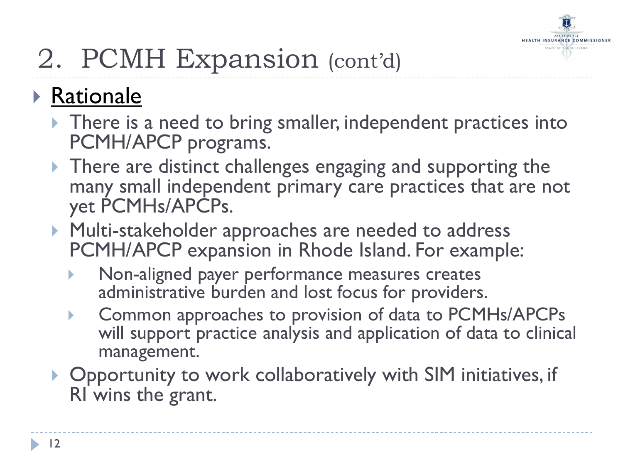

## 2. PCMH Expansion (cont'd)

#### **Rationale**

- There is a need to bring smaller, independent practices into PCMH/APCP programs.
- **There are distinct challenges engaging and supporting the** many small independent primary care practices that are not yet PCMHs/APCPs.
- **Multi-stakeholder approaches are needed to address** PCMH/APCP expansion in Rhode Island. For example:
	- Non-aligned payer performance measures creates administrative burden and lost focus for providers.
	- **EXAGO COMMON APPROACLEST CONTEXAGO FOR A COMMON CONTEXAGO FIG.** will support practice analysis and application of data to clinical management.
- ▶ Opportunity to work collaboratively with SIM initiatives, if RI wins the grant.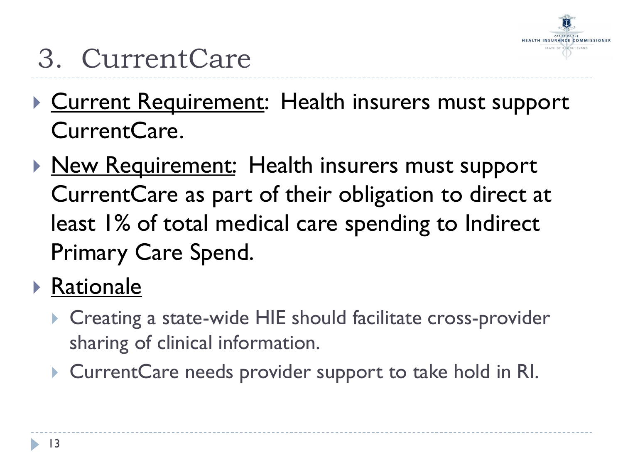

- 3. CurrentCare
- **Current Requirement: Health insurers must support** CurrentCare.
- ▶ New Requirement: Health insurers must support CurrentCare as part of their obligation to direct at least 1% of total medical care spending to Indirect Primary Care Spend.
- ▶ Rationale
	- ▶ Creating a state-wide HIE should facilitate cross-provider sharing of clinical information.
	- ▶ CurrentCare needs provider support to take hold in RI.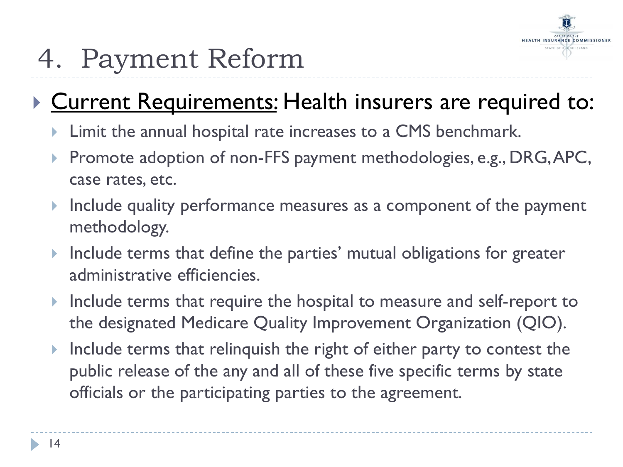

## 4. Payment Reform

#### Current Requirements: Health insurers are required to:

- **Limit the annual hospital rate increases to a CMS benchmark.**
- $\blacktriangleright$  Promote adoption of non-FFS payment methodologies, e.g., DRG, APC, case rates, etc.
- Include quality performance measures as a component of the payment methodology.
- Include terms that define the parties' mutual obligations for greater administrative efficiencies.
- Include terms that require the hospital to measure and self-report to the designated Medicare Quality Improvement Organization (QIO).
- Include terms that relinquish the right of either party to contest the public release of the any and all of these five specific terms by state officials or the participating parties to the agreement.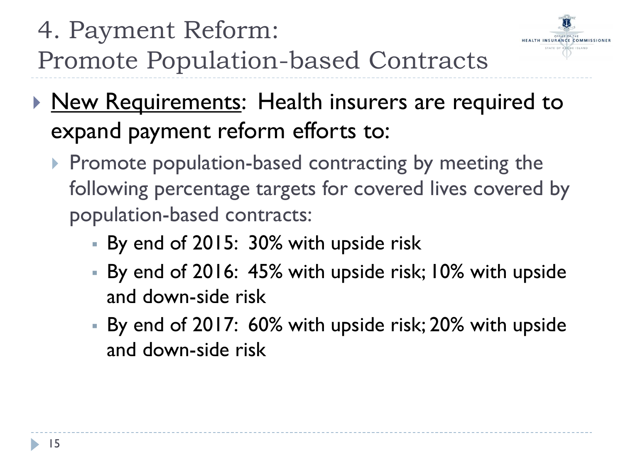### 4. Payment Reform: Promote Population-based Contracts

**New Requirements: Health insurers are required to** expand payment reform efforts to:

HEALTH INSURANCE COMMISSIONER

- $\triangleright$  Promote population-based contracting by meeting the following percentage targets for covered lives covered by population-based contracts:
	- By end of 2015: 30% with upside risk
	- By end of 2016: 45% with upside risk; 10% with upside and down-side risk
	- By end of 2017: 60% with upside risk; 20% with upside and down-side risk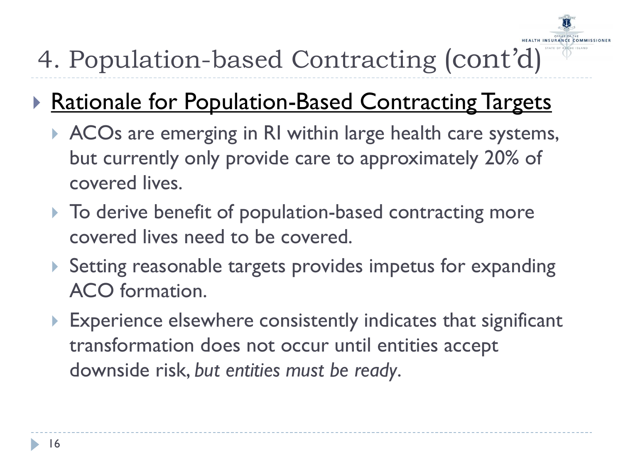

### 4. Population-based Contracting (cont'd)

#### **Rationale for Population-Based Contracting Targets**

- ACOs are emerging in RI within large health care systems, but currently only provide care to approximately 20% of covered lives.
- $\triangleright$  To derive benefit of population-based contracting more covered lives need to be covered.
- Setting reasonable targets provides impetus for expanding ACO formation.
- ▶ Experience elsewhere consistently indicates that significant transformation does not occur until entities accept downside risk, *but entities must be ready*.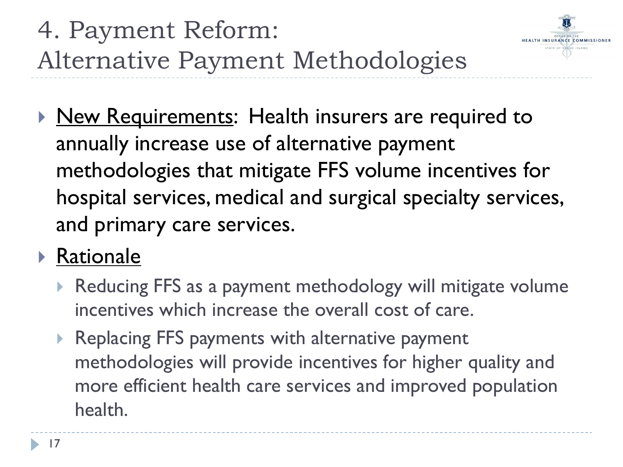

▶ New Requirements: Health insurers are required to annually increase use of alternative payment methodologies that mitigate FFS volume incentives for hospital services, medical and surgical specialty services, and primary care services.

#### **Rationale**

- Reducing FFS as a payment methodology will mitigate volume incentives which increase the overall cost of care.
- ▶ Replacing FFS payments with alternative payment methodologies will provide incentives for higher quality and more efficient health care services and improved population health.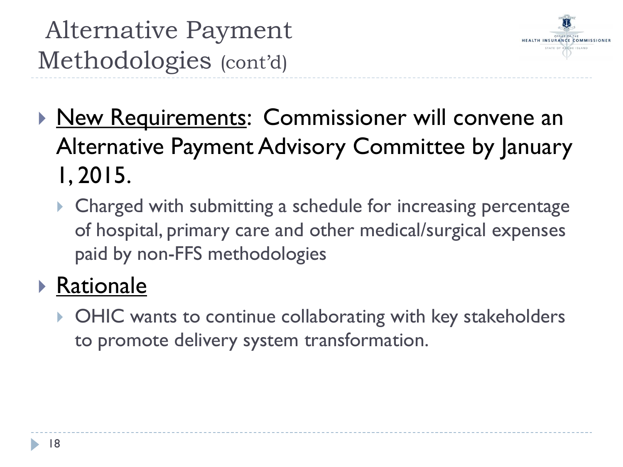Alternative Payment Methodologies (cont'd)



- **New Requirements: Commissioner will convene an** Alternative Payment Advisory Committee by January 1, 2015.
	- ▶ Charged with submitting a schedule for increasing percentage of hospital, primary care and other medical/surgical expenses paid by non-FFS methodologies

#### ▶ Rationale

▶ OHIC wants to continue collaborating with key stakeholders to promote delivery system transformation.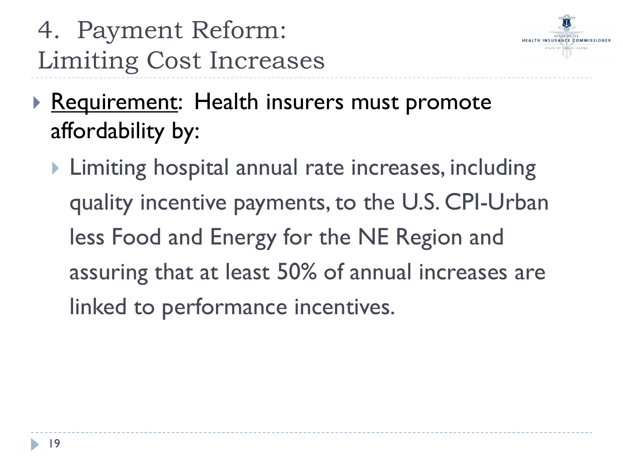



- Requirement: Health insurers must promote affordability by:
	- ▶ Limiting hospital annual rate increases, including quality incentive payments, to the U.S. CPI-Urban less Food and Energy for the NE Region and assuring that at least 50% of annual increases are linked to performance incentives.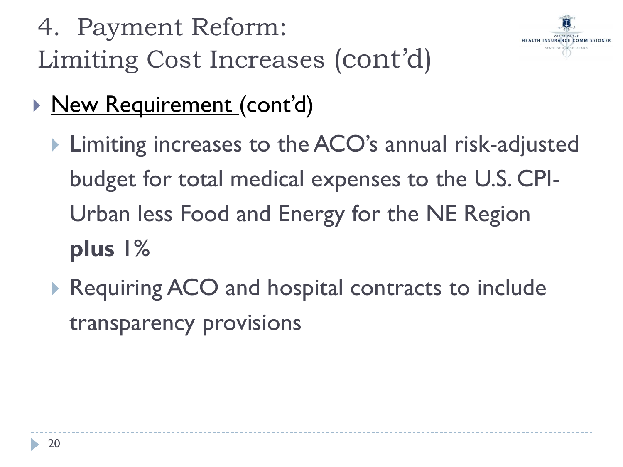4. Payment Reform: Limiting Cost Increases (cont'd) HEALTH INSURANCE COMMISSIONER

- ▶ New Requirement (cont'd)
	- ▶ Limiting increases to the ACO's annual risk-adjusted budget for total medical expenses to the U.S. CPI-Urban less Food and Energy for the NE Region **plus** 1%
	- ▶ Requiring ACO and hospital contracts to include transparency provisions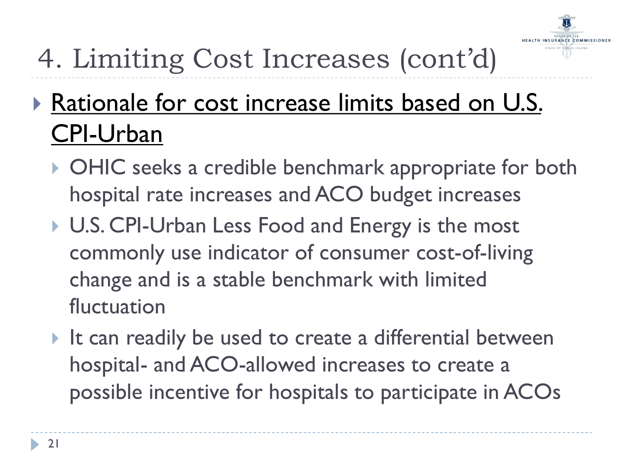

## 4. Limiting Cost Increases (cont'd)

### **Rationale for cost increase limits based on U.S.** CPI-Urban

- ▶ OHIC seeks a credible benchmark appropriate for both hospital rate increases and ACO budget increases
- ▶ U.S. CPI-Urban Less Food and Energy is the most commonly use indicator of consumer cost-of-living change and is a stable benchmark with limited fluctuation
- It can readily be used to create a differential between hospital- and ACO-allowed increases to create a possible incentive for hospitals to participate in ACOs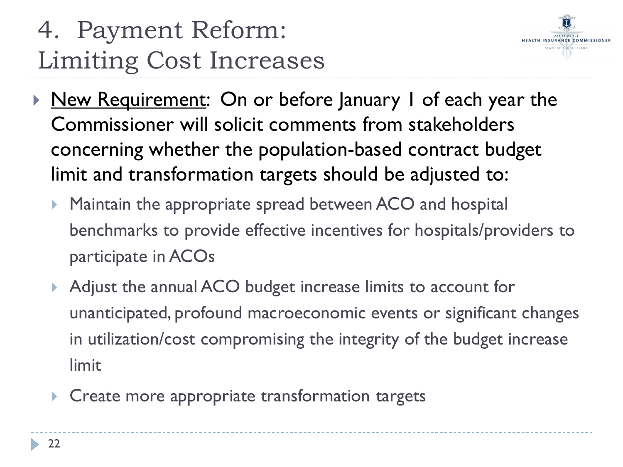### 4. Payment Reform: Limiting Cost Increases



- New Requirement: On or before January 1 of each year the Commissioner will solicit comments from stakeholders concerning whether the population-based contract budget limit and transformation targets should be adjusted to:
	- **Maintain the appropriate spread between ACO and hospital** benchmarks to provide effective incentives for hospitals/providers to participate in ACOs
	- Adjust the annual ACO budget increase limits to account for unanticipated, profound macroeconomic events or significant changes in utilization/cost compromising the integrity of the budget increase limit
	- **Create more appropriate transformation targets**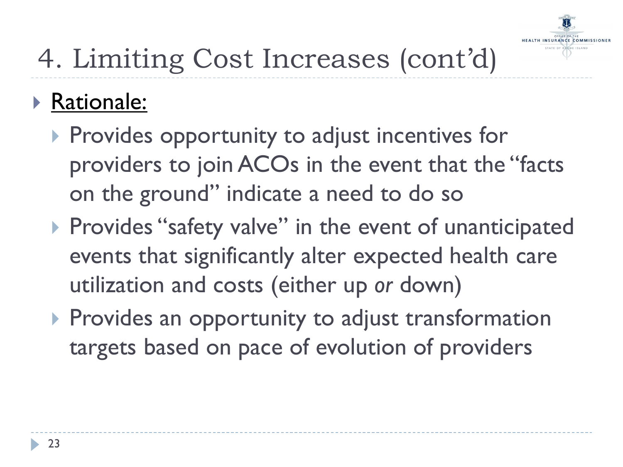

#### ▶ Rationale:

- $\triangleright$  Provides opportunity to adjust incentives for providers to join ACOs in the event that the "facts on the ground" indicate a need to do so
- ▶ Provides "safety valve" in the event of unanticipated events that significantly alter expected health care utilization and costs (either up *or* down)
- **Provides an opportunity to adjust transformation** targets based on pace of evolution of providers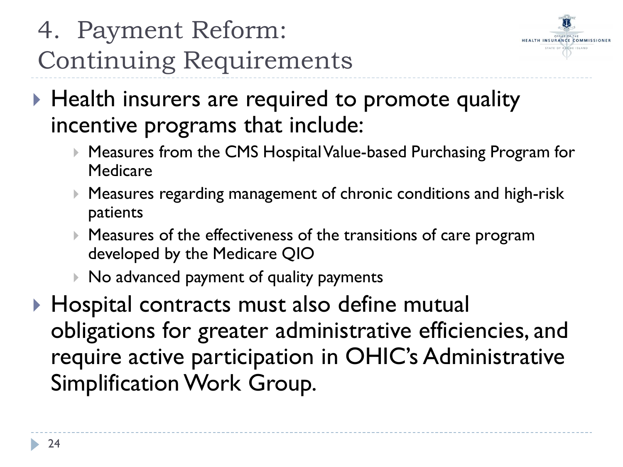### 4. Payment Reform: Continuing Requirements



- ▶ Health insurers are required to promote quality incentive programs that include:
	- ▶ Measures from the CMS Hospital Value-based Purchasing Program for Medicare
	- Measures regarding management of chronic conditions and high-risk patients
	- Measures of the effectiveness of the transitions of care program developed by the Medicare QIO
	- ▶ No advanced payment of quality payments
- ▶ Hospital contracts must also define mutual obligations for greater administrative efficiencies, and require active participation in OHIC's Administrative Simplification Work Group.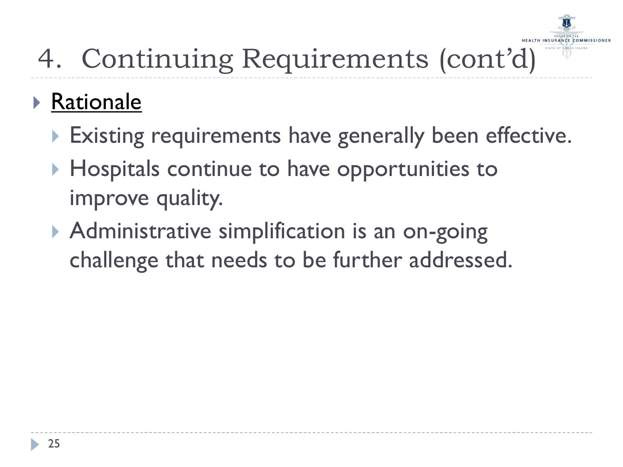

## 4. Continuing Requirements (cont'd)

#### ▶ Rationale

- Existing requirements have generally been effective.
- ▶ Hospitals continue to have opportunities to improve quality.
- **Administrative simplification is an on-going** challenge that needs to be further addressed.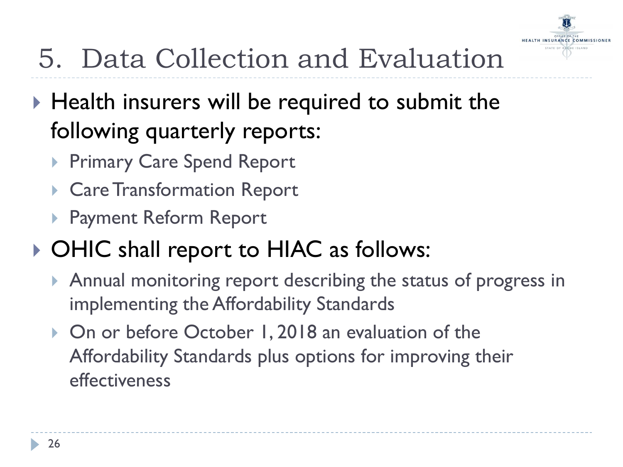

## 5. Data Collection and Evaluation

- $\triangleright$  Health insurers will be required to submit the following quarterly reports:
	- ▶ Primary Care Spend Report
	- ▶ Care Transformation Report
	- Payment Reform Report
- ▶ OHIC shall report to HIAC as follows:
	- Annual monitoring report describing the status of progress in implementing the Affordability Standards
	- ▶ On or before October 1, 2018 an evaluation of the Affordability Standards plus options for improving their effectiveness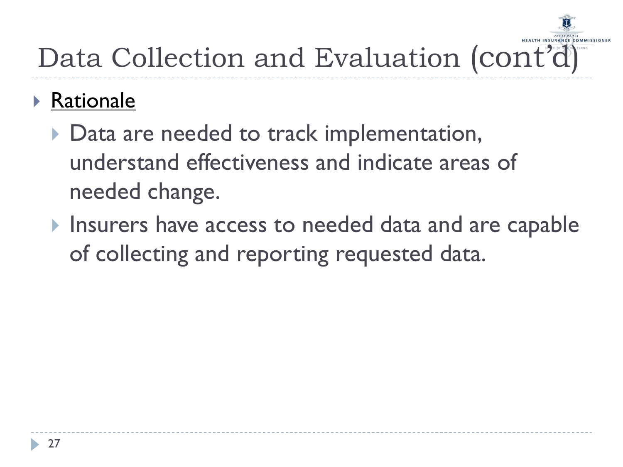# Data Collection and Evaluation (cont'd)

#### Rationale

- ▶ Data are needed to track implementation, understand effectiveness and indicate areas of needed change.
- Insurers have access to needed data and are capable of collecting and reporting requested data.